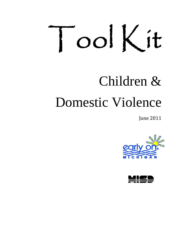# ToolKit

# Children & Domestic Violence

June 2011



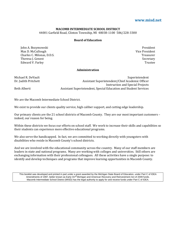#### **[www.misd.net](http://www.google.com/url?q=http%3A%2F%2Fwww.misd.net&sa=D&sntz=1&usg=AFQjCNFmdf802WFZTfcqMdgRZfE66fXbBg)**

#### **MACOMB INTERMEDIATE SCHOOL DISTRICT**

44001 Garfield Road, Clinton Township, MI 48038‐1100 586/228‐3300

#### **Board of Education**

John A. Bozymowski President Max D. McCullough **Exercise 2018** Vice President , D.D.S. T Charles C. Milonas, D.D.S. Theresa J. Genest Edward V. Farley Trustee

**Treasurer Secretary Vice President** 

#### **Administration**

Dr. Judith Pritchett

Michael R. DeVault and the control of the control of the control of the control of the control of the control o Assistant Superintendent/Chief Academic Officer Instruction and Special Projects Beth Alberti *Assistant Superintendent, Special Education and Student Services* 

We are the Macomb Intermediate School District.

We exist to provide our clients quality service, high caliber support, and cutting edge leadership.

Our primary clients are the 21 school districts of Macomb County. They are our most important customers – indeed, our reason for being.

Within these districts we focus our efforts on school staff. We work to increase their skills and capabilities so their students can experience more effective educational programs.

We also serve the handicapped. In fact, we are committed to working directly with youngsters with disabilities who reside in Macomb County's school districts.

And we are involved with the educational community across the country. Many of our staff members are leaders in state and national programs. Many are working with colleges and universities. Still others are exchanging information with their professional colleagues. All these activities have a single purpose: to dentify and develop techniques and programs that improve learning opportunities in Macomb County. i

This booklet was developed and printed in part under a grant awarded by the Michigan State Board of Education, under Part C of IDEA Amendments of 1997, better known as Early On<sup>@</sup> Michigan and American Recovery and Reinvestment Act of 2009 funds. Macomb Intermediate School District (MISD) has the legal authority to apply for and receive funds under Part C of IDEA.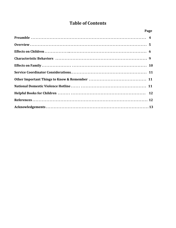# **Table of Contents**

| <u>Page</u> |  |
|-------------|--|
|             |  |
|             |  |
|             |  |
|             |  |
|             |  |
|             |  |
|             |  |
|             |  |
|             |  |
|             |  |
|             |  |
|             |  |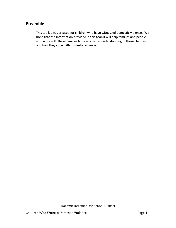# **Preamble**

This toolkit was created for children who have witnessed domestic violence. We hope that the information provided in this toolkit will help families and people who work with these families to have a better understanding of these children and how they cope with domestic violence.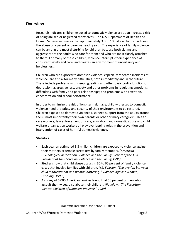## **Overview**

Research indicates children exposed to domestic violence are at an increased risk of being abused or neglected themselves. The U.S. Department of Health and Human Services estimates that approximately 3.3 to 10 million children witness the abuse of a parent or caregiver each year. The experience of family violence can be among the most disturbing for children because both victims and aggressors are the adults who care for them and who are most closely attached to them. For many of these children, violence interrupts their experience of consistent safety and care, and creates an environment of uncertainty and helplessness.

Children who are exposed to domestic violence, especially repeated incidents of violence, are at risk for many difficulties, both immediately and in the future. These include problems with sleeping, eating and other basic bodily functions; depression, aggressiveness, anxiety and other problems in regulating emotions; difficulties with family and peer relationships; and problems with attention, concentration and school performance.

In order to minimize the risk of long‐term damage, child witnesses to domestic violence need the safety and security of their environment to be restored. Children exposed to domestic violence also need support from the adults around them, most importantly their own parents or other primary caregivers. Health care workers, law enforcement officers, educators, and domestic abuse and child welfare organization workers all play overlapping roles in the prevention and intervention of cases of harmful domestic violence.

#### **Statistics**

- Each year an estimated 3.3 million children are exposed to violence against their mothers or female caretakers by family members. *(American Psychological Association, Violence and the Family: Report of the APA Presidential Task Force on Violence and the Family,1996)*
- Studies show that child abuse occurs in 30 to 60 percent of family violence cases that involve families with children. *(J.L. Edleson, "The overlap between child maltreatment and woman battering." Violence Against Women, February, 1999.)*
- A survey of 6,000 American families found that 50 percent of men who assault their wives, also abuse their children. *(Pagelow, "The Forgotten Victims: Children of Domestic Violence," 1989)*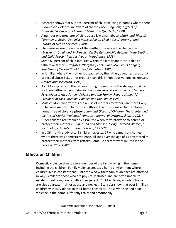- Research shows that 80 to 90 percent of children living in homes where there is domestic violence are aware of the violence. *(Pagelow, "Effects of Domestic Violence on Children," Mediation Quarterly, 1990)*
- A number one predictor of child abuse is woman abuse. *(Stark and Flitcraft, "Women at Risk: A Feminist Perspective on Child Abuse," International Journal of Health Services, 1988)*
- The more severe the abuse of the mother, the worse the child abuse. *(Bowker, Arbitell, and McFerron, "On the Relationship Between Wife Beating and Child Abuse," Perspectives on Wife Abuse, 1988)*
- Some 80 percent of child fatalities within the family are attributable to fathers or father surrogates. *(Bergman, Larsen and Mueller, "Changing Spectrum of Serious Child Abuse," Pediatrics, 1986)*
- In families where the mother is assaulted by the father, daughters are at risk of sexual abuse 6.51 times greater than girls in non‐abusive families *(Bowker, Arbitell and McFerron, 1988)*
- A child's exposure to the father abusing the mother is the strongest risk fact for transmitting violent behavior from one generation to the next *(American Psychological Association, Violence and the Family: Report of the APA Presidential Task Force on Violence and the Family,1996)*
- Male children who witness the abuse of mothers by fathers are more likely to become men who batter in adulthood than those male children from homes free of violence *(Rosenbaum and O'Leary, "Children: The Unintended Victims of Marital Violence," American Journal of Orthopsychiatry, 1981)*
- Older children are frequently assaulted when they intervene to defend or protect their mothers. *(Hilberman and Munson, "Sixty Battered Women," Victimology: An International Journal, 1977‐78)*
- In a 36-month study of 146 children, ages 11-17 who came from homes where there was domestic violence, all sons over the age of 14 attempted to protect their mothers from attacks. Some 62 percent were injured in the process. *(Roy, 1988)*

# **Effects on Children**

Domestic violence affects every member of the family living in the home, including the children. Family violence creates a home environment where children live in constant fear. Children who witness family violence are affected in ways similar to those who are physically abused and are often unable to establish nurturing bonds with either parent. Children living in violent homes are also at greater risk for abuse and neglect. [Statistics](http://www.acadv.org/#statistics) show that over 3 million children witness violence in their home each year. Those who see and hear violence in the home suffer physically and emotionally.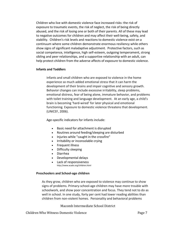Children who live with domestic violence face increased risks: the risk of exposure to traumatic events, the risk of neglect, the risk of being directly abused, and the risk of losing one or both of their parents. All of these may lead to negative outcomes for children and may affect their well‐being, safety, and stability. Children's risk levels and reactions to domestic violence exist on a continuum where some children demonstrate enormous resiliency while others show signs of significant maladaptive adjustment. Protective factors, such as social competence, intelligence, high self‐esteem, outgoing temperament, strong sibling and peer relationships, and a supportive relationship with an adult, can help protect children from the adverse affects of exposure to domestic violence.

#### **Infants and Toddlers**

Infants and small children who are exposed to violence in the home experience so much added emotional stress that it can harm the development of their brains and impair cognitive and sensory growth. Behavior changes can include excessive irritability, sleep problems, emotional distress, fear of being alone, immature behavior, and problems with toilet training and language development. At an early age, a child's brain is becoming 'hard‐wired' for later physical and emotional functioning. Exposure to domestic violence threatens that development. (UNICEF, 2006).

Age‐specific indicators for infants include:

- Basic need for attachment is disrupted
- Routines around feeding/sleeping are disturbed
- Injuries while "caught in the crossfire"
- Irritability or inconsolable crying
- Frequent illness
- Difficulty sleeping
- Diarrhea
- Developmental delays
- Lack of responsiveness http://www.acadv.org/children.html

#### **Preschoolers and School‐age children**

As they grow, children who are exposed to violence may continue to show signs of problems. Primary‐school‐age children may have more trouble with schoolwork, and show poor concentration and focus. They tend not to do as well in school. In one study, forty per cent had lower reading abilities than children from non‐violent homes. Personality and behavioral problems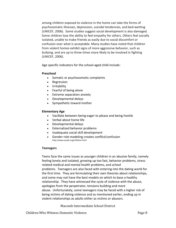among children exposed to violence in the home can take the forms of psychosomatic illnesses, depression, suicidal tendencies, and bed‐wetting (UNICEF, 2006). Some studies suggest social development is also damaged. Some children lose the ability to feel empathy for others. Others feel socially isolated, unable to make friends as easily due to social discomfort or confusion over what is acceptable. Many studies have noted that children from violent homes exhibit signs of more aggressive behavior, such as bullying, and are up to three times more likely to be involved in fighting (UNICEF, 2006).

Age specific indicators for the school-aged child include:

#### **Preschool**

- Somatic or psychosomatic complaints
- Regression
- Irritability
- Fearful of being alone
- Extreme separation anxiety
- Developmental delays
- Sympathetic toward mother

#### **Elementary Age**

- Vacillate between being eager to please and being hostile
- Verbal about home life
- Developmental delays
- Externalized behavior problems
- Inadequate social skill development
- Gender role modeling creates conflict/confusion http://www.acadv.org/children.html

#### **Teenagers**

Teens face the same issues as younger children in an abusive family, namely feeling lonely and isolated, growing up too fast, behavior problems, stress related medical and mental health problems, and school problems. Teenagers are also faced with entering into the dating world for the first time. They are formulating their own theories about relationships, and some may not have the best models on which to base a healthy relationship. They have witnessed the cycle of violence with the abuse, apologies from the perpetrator, tensions building and more abuse. Unfortunately, some teenagers may be faced with a higher risk of being victims of dating violence and as mentioned earlier, ending up in violent relationships as adults either as victims or abusers.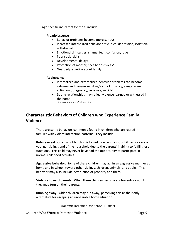Age specific indicators for teens include:

#### **Preadolescence**

- Behavior problems become more serious
- Increased internalized behavior difficulties: depression, isolation, withdrawal
- Emotional difficulties: shame, fear, confusion, rage
- Poor social skills
- Developmental delays
- Protection of mother, sees her as "weak"
- Guarded/secretive about family

#### **Adolescence**

- Internalized and externalized behavior problems can become extreme and dangerous: drug/alcohol, truancy, gangs, sexual acting out, pregnancy, runaway, suicidal
- Dating relationships may reflect violence learned or witnessed in the home http://www.acadv.org/children.html

# **Characteristic Behaviors of Children who Experience Family Violence**

There are some behaviors commonly found in children who are reared in families with violent interaction patterns. They include:

**Role reversal:** Often an older child is forced to accept responsibilities for care of younger siblings and of the household due to the parents' inability to fulfill these functions. This child may never have had the opportunity to participate in normal childhood activities.

**Aggressive behavior**: Some of these children may act in an aggressive manner at home and in school, toward other siblings, children, animals, and adults. This behavior may also include destruction of property and theft.

**Violence toward parents:** When these children become adolescents or adults, they may turn on their parents.

**Running away:** Older children may run away, perceiving this as their only alternative for escaping an unbearable home situation.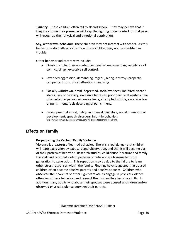**Truancy:** These children often fail to attend school. They may believe that if they stay home their presence will keep the fighting under control, or that peers will recognize their physical and emotional deprivation.

**Shy, withdrawn behavior:** These children may not interact with others. As this behavior seldom attracts attention, these children may not be identified as trouble.

Other behavior indicators may include:

- Overly compliant, overly adaptive, passive, undemanding, avoidance of conflict, clingy, excessive self control.
- Extended aggression, demanding, rageful, biting, destroys property, temper tantrums, short attention span, lying.
- Socially withdrawn, timid, depressed, social wariness, inhibited, vacant stares, lack of curiosity, excessive fantasies, poor peer relationships, fear of a particular person, excessive fears, attempted suicide, excessive fear of punishment, feels deserving of punishment.
- Developmental arrest, delays in physical, cognitive, social or emotional development, speech disorders, infantile behavior. <http://www.domesticviolenceservices.com/violenceeffectsonchildren.html>

# **Effects on Family**

#### **Perpetuating the Cycle of Family Violence**

Violence is a pattern of learned behavior. There is a real danger that children will learn aggression by exposure and observation, and that it will become part of their pattern of behavior. Research studies, child abuse literature and family theorists indicate that violent patterns of behavior are transmitted from generation to generation. This repetition may be due to the failure to learn other stress responses within the family. Findings have suggested that abused children often become abusive parents and abusive spouses. Children who observed their parents or other significant adults engage in physical violence often learn these behaviors and reenact them when they become adults. In addition, many adults who abuse their spouses were abused as children and/or observed physical violence between their parents.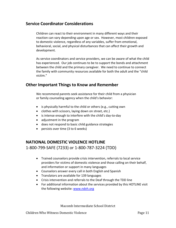# **Service Coordinator Considerations**

Children can react to their environment in many different ways and their reaction can vary depending upon age or sex. However, most children exposed to domestic violence, regardless of any variables, suffer from emotional, behavioral, social, and physical disturbances that can affect their growth and development.

As service coordinators and service providers, we can be aware of what the child has experienced. Our job continues to be to support the bonds and attachment between the child and the primary caregiver. We need to continue to connect the family with community resources available for both the adult and the "child victim."

# **Other Important Things to Know and Remember**

We recommend parents seek assistance for their child from a physician or family counseling agency when the child's behavior:

- is physically harmful to the child or others (e.g., cutting own
- clothes with scissors, laying down on street, etc.)
- is intense enough to interfere with the child's day‐to‐day
- adjustment in the program
- does not respond to basic child guidance strategies
- persists over time (3 to 6 weeks)

# **NATIONAL DOMESTIC VIOLENCE HOTLINE**

1‐800‐799‐SAFE (7233) or 1‐800‐787‐3224 (TDD)

- Trained counselors provide crisis intervention, referrals to local service providers for victims of domestic violence and those calling on their behalf, and information or support in many languages
- Counselors answer every call in both English and Spanish
- Translators are available for 139 languages
- Crisis intervention and referrals to the Deaf through the TDD line
- For additional information about the services provided by this HOTLINE visit the following website: [www.ndvh.org](http://www.ndvh.org/)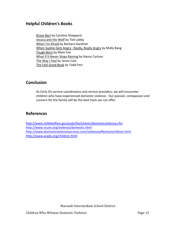# **Helpful Children's Books**

Brave Bart by Caroline Sheppard Jessica and the Wolf by Ted Lobby When I'm Afraid by Barbara Gardiner When Sophie Gets Angry ‐ Really, Really Angry by Molly Bang Tough Boris by Mem Fox What If It Never Stops Raining by Nancy Carlson The Way I Feel by Janan Cain The Feel Good Book by Todd Parr

## **Conclusion**

As Early On service coordinators and service providers, we will encounter children who have experienced domestic violence. Our passion, compassion and concern for the family will be the best tools we can offer.

# **References**

<http://www.childwelfare.gov/pubs/factsheets/domesticviolence.cfm> <http://www.nccev.org/violence/domestic.html> <http://www.domesticviolenceservices.com/violenceeffectsonchildren.html> <http://www.acadv.org/children.html>